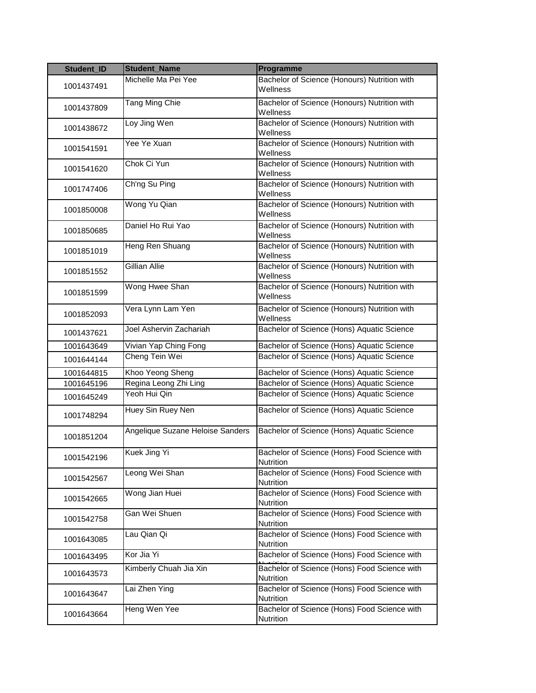| Student_ID | <b>Student_Name</b>              | Programme                                                        |
|------------|----------------------------------|------------------------------------------------------------------|
| 1001437491 | Michelle Ma Pei Yee              | Bachelor of Science (Honours) Nutrition with<br>Wellness         |
| 1001437809 | Tang Ming Chie                   | Bachelor of Science (Honours) Nutrition with<br>Wellness         |
| 1001438672 | Loy Jing Wen                     | Bachelor of Science (Honours) Nutrition with<br>Wellness         |
| 1001541591 | Yee Ye Xuan                      | Bachelor of Science (Honours) Nutrition with<br>Wellness         |
| 1001541620 | Chok Ci Yun                      | Bachelor of Science (Honours) Nutrition with<br>Wellness         |
| 1001747406 | Ch'ng Su Ping                    | Bachelor of Science (Honours) Nutrition with<br>Wellness         |
| 1001850008 | Wong Yu Qian                     | Bachelor of Science (Honours) Nutrition with<br>Wellness         |
| 1001850685 | Daniel Ho Rui Yao                | Bachelor of Science (Honours) Nutrition with<br>Wellness         |
| 1001851019 | Heng Ren Shuang                  | Bachelor of Science (Honours) Nutrition with<br>Wellness         |
| 1001851552 | Gillian Allie                    | Bachelor of Science (Honours) Nutrition with<br>Wellness         |
| 1001851599 | Wong Hwee Shan                   | Bachelor of Science (Honours) Nutrition with<br>Wellness         |
| 1001852093 | Vera Lynn Lam Yen                | Bachelor of Science (Honours) Nutrition with<br>Wellness         |
| 1001437621 | Joel Ashervin Zachariah          | Bachelor of Science (Hons) Aquatic Science                       |
| 1001643649 | Vivian Yap Ching Fong            | Bachelor of Science (Hons) Aquatic Science                       |
| 1001644144 | Cheng Tein Wei                   | Bachelor of Science (Hons) Aquatic Science                       |
| 1001644815 | Khoo Yeong Sheng                 | Bachelor of Science (Hons) Aquatic Science                       |
| 1001645196 | Regina Leong Zhi Ling            | Bachelor of Science (Hons) Aquatic Science                       |
| 1001645249 | Yeoh Hui Qin                     | Bachelor of Science (Hons) Aquatic Science                       |
| 1001748294 | Huey Sin Ruey Nen                | Bachelor of Science (Hons) Aquatic Science                       |
| 1001851204 | Angelique Suzane Heloise Sanders | Bachelor of Science (Hons) Aquatic Science                       |
| 1001542196 | Kuek Jing Yi                     | Bachelor of Science (Hons) Food Science with<br>Nutrition        |
| 1001542567 | Leong Wei Shan                   | Bachelor of Science (Hons) Food Science with<br>Nutrition        |
| 1001542665 | Wong Jian Huei                   | Bachelor of Science (Hons) Food Science with<br><b>Nutrition</b> |
| 1001542758 | Gan Wei Shuen                    | Bachelor of Science (Hons) Food Science with<br><b>Nutrition</b> |
| 1001643085 | Lau Qian Qi                      | Bachelor of Science (Hons) Food Science with<br>Nutrition        |
| 1001643495 | Kor Jia Yi                       | Bachelor of Science (Hons) Food Science with                     |
| 1001643573 | Kimberly Chuah Jia Xin           | Bachelor of Science (Hons) Food Science with<br><b>Nutrition</b> |
| 1001643647 | Lai Zhen Ying                    | Bachelor of Science (Hons) Food Science with<br>Nutrition        |
| 1001643664 | Heng Wen Yee                     | Bachelor of Science (Hons) Food Science with<br>Nutrition        |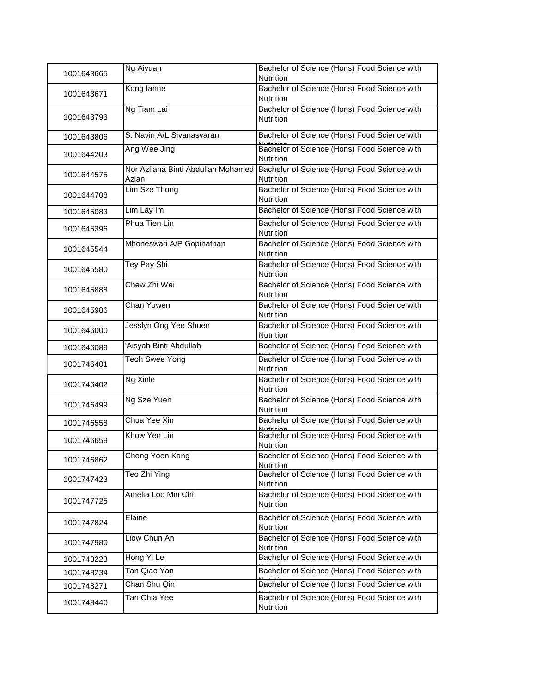| 1001643665 | Ng Aiyuan                                   | Bachelor of Science (Hons) Food Science with<br><b>Nutrition</b> |
|------------|---------------------------------------------|------------------------------------------------------------------|
| 1001643671 | Kong lanne                                  | Bachelor of Science (Hons) Food Science with<br>Nutrition        |
| 1001643793 | Ng Tiam Lai                                 | Bachelor of Science (Hons) Food Science with<br><b>Nutrition</b> |
| 1001643806 | S. Navin A/L Sivanasvaran                   | Bachelor of Science (Hons) Food Science with                     |
| 1001644203 | Ang Wee Jing                                | Bachelor of Science (Hons) Food Science with<br><b>Nutrition</b> |
| 1001644575 | Nor Azliana Binti Abdullah Mohamed<br>Azlan | Bachelor of Science (Hons) Food Science with<br><b>Nutrition</b> |
| 1001644708 | Lim Sze Thong                               | Bachelor of Science (Hons) Food Science with<br>Nutrition        |
| 1001645083 | Lim Lay Im                                  | Bachelor of Science (Hons) Food Science with                     |
| 1001645396 | Phua Tien Lin                               | Bachelor of Science (Hons) Food Science with<br><b>Nutrition</b> |
| 1001645544 | Mhoneswari A/P Gopinathan                   | Bachelor of Science (Hons) Food Science with<br><b>Nutrition</b> |
| 1001645580 | Tey Pay Shi                                 | Bachelor of Science (Hons) Food Science with<br><b>Nutrition</b> |
| 1001645888 | Chew Zhi Wei                                | Bachelor of Science (Hons) Food Science with<br>Nutrition        |
| 1001645986 | Chan Yuwen                                  | Bachelor of Science (Hons) Food Science with<br>Nutrition        |
| 1001646000 | Jesslyn Ong Yee Shuen                       | Bachelor of Science (Hons) Food Science with<br>Nutrition        |
| 1001646089 | Aisyah Binti Abdullah                       | Bachelor of Science (Hons) Food Science with                     |
| 1001746401 | Teoh Swee Yong                              | Bachelor of Science (Hons) Food Science with<br><b>Nutrition</b> |
| 1001746402 | Ng Xinle                                    | Bachelor of Science (Hons) Food Science with<br><b>Nutrition</b> |
| 1001746499 | Ng Sze Yuen                                 | Bachelor of Science (Hons) Food Science with<br>Nutrition        |
| 1001746558 | Chua Yee Xin                                | Bachelor of Science (Hons) Food Science with                     |
| 1001746659 | Khow Yen Lin                                | Bachelor of Science (Hons) Food Science with<br><b>Nutrition</b> |
| 1001746862 | Chong Yoon Kang                             | Bachelor of Science (Hons) Food Science with<br><b>Nutrition</b> |
| 1001747423 | Teo Zhi Ying                                | Bachelor of Science (Hons) Food Science with<br><b>Nutrition</b> |
| 1001747725 | Amelia Loo Min Chi                          | Bachelor of Science (Hons) Food Science with<br><b>Nutrition</b> |
| 1001747824 | Elaine                                      | Bachelor of Science (Hons) Food Science with<br><b>Nutrition</b> |
| 1001747980 | Liow Chun An                                | Bachelor of Science (Hons) Food Science with<br><b>Nutrition</b> |
| 1001748223 | Hong Yi Le                                  | Bachelor of Science (Hons) Food Science with                     |
| 1001748234 | Tan Qiao Yan                                | Bachelor of Science (Hons) Food Science with                     |
| 1001748271 | Chan Shu Qin                                | Bachelor of Science (Hons) Food Science with                     |
| 1001748440 | Tan Chia Yee                                | Bachelor of Science (Hons) Food Science with<br>Nutrition        |